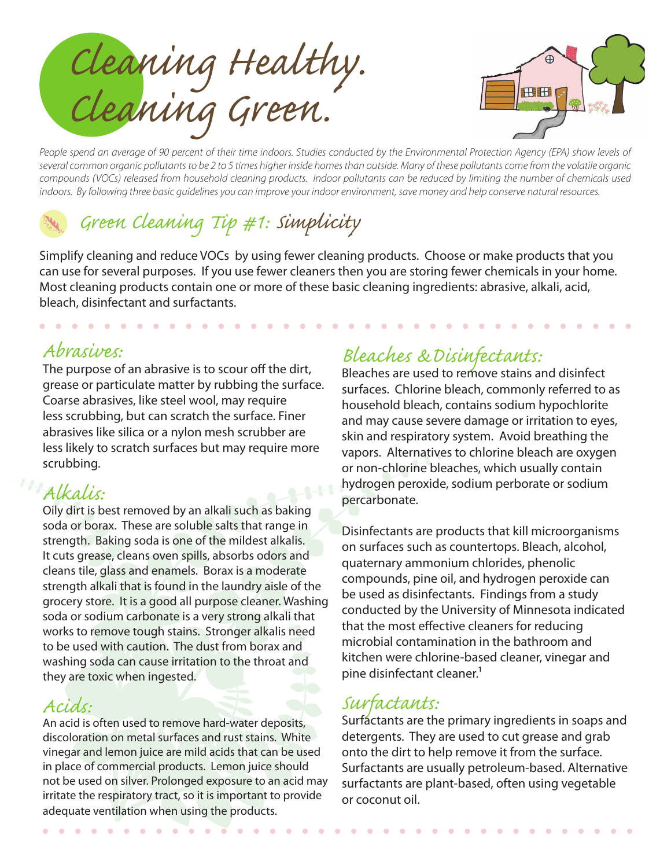*Cleaning Healthy. Cleaning Green.*



*People spend an average of 90 percent of their time indoors. Studies conducted by the Environmental Protection Agency (EPA) show levels of several common organic pollutants to be 2 to 5 times higher inside homes than outside. Many of these pollutants come from the volatile organic compounds (VOCs) released from household cleaning products. Indoor pollutants can be reduced by limiting the number of chemicals used indoors. By following three basic guidelines you can improve your indoor environment, save money and help conserve natural resources.*

# d *Green Cleaning Tip #1: Simplicity*

Simplify cleaning and reduce VOCs by using fewer cleaning products. Choose or make products that you can use for several purposes. If you use fewer cleaners then you are storing fewer chemicals in your home. Most cleaning products contain one or more of these basic cleaning ingredients: abrasive, alkali, acid, bleach, disinfectant and surfactants.

# *Abrasives:*

The purpose of an abrasive is to scour off the dirt, grease or particulate matter by rubbing the surface. Coarse abrasives, like steel wool, may require less scrubbing, but can scratch the surface. Finer abrasives like silica or a nylon mesh scrubber are less likely to scratch surfaces but may require more scrubbing.

# *Alkalis:*

Oily dirt is best removed by an alkali such as baking soda or borax. These are soluble salts that range in strength. Baking soda is one of the mildest alkalis. It cuts grease, cleans oven spills, absorbs odors and cleans tile, glass and enamels. Borax is a moderate strength alkali that is found in the laundry aisle of the grocery store. It is a good all purpose cleaner. Washing soda or sodium carbonate is a very strong alkali that works to remove tough stains. Stronger alkalis need to be used with caution. The dust from borax and washing soda can cause irritation to the throat and they are toxic when ingested.

# *Acids:*

An acid is often used to remove hard-water deposits, discoloration on metal surfaces and rust stains. White vinegar and lemon juice are mild acids that can be used in place of commercial products. Lemon juice should not be used on silver. Prolonged exposure to an acid may irritate the respiratory tract, so it is important to provide adequate ventilation when using the products.

# *Bleaches &Disinfectants:*

Bleaches are used to remove stains and disinfect surfaces. Chlorine bleach, commonly referred to as household bleach, contains sodium hypochlorite and may cause severe damage or irritation to eyes, skin and respiratory system. Avoid breathing the vapors. Alternatives to chlorine bleach are oxygen or non-chlorine bleaches, which usually contain hydrogen peroxide, sodium perborate or sodium percarbonate.

Disinfectants are products that kill microorganisms on surfaces such as countertops. Bleach, alcohol, quaternary ammonium chlorides, phenolic compounds, pine oil, and hydrogen peroxide can be used as disinfectants. Findings from a study conducted by the University of Minnesota indicated that the most effective cleaners for reducing microbial contamination in the bathroom and kitchen were chlorine-based cleaner, vinegar and pine disinfectant cleaner.<sup>1</sup>

# *Surfactants:*

Surfactants are the primary ingredients in soaps and detergents. They are used to cut grease and grab onto the dirt to help remove it from the surface. Surfactants are usually petroleum-based. Alternative surfactants are plant-based, often using vegetable or coconut oil.

 $\bullet$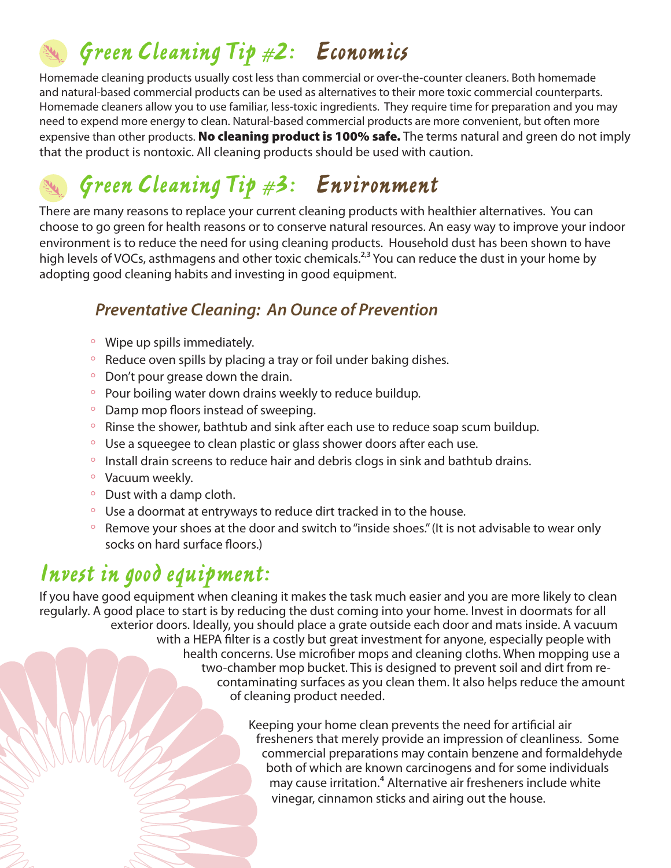d *Green Cleaning Tip #2: Economics*

Homemade cleaning products usually cost less than commercial or over-the-counter cleaners. Both homemade and natural-based commercial products can be used as alternatives to their more toxic commercial counterparts. Homemade cleaners allow you to use familiar, less-toxic ingredients. They require time for preparation and you may need to expend more energy to clean. Natural-based commercial products are more convenient, but often more expensive than other products. No cleaning product is 100% safe. The terms natural and green do not imply that the product is nontoxic. All cleaning products should be used with caution.

# d *Green Cleaning Tip #3: Environment*

There are many reasons to replace your current cleaning products with healthier alternatives. You can choose to go green for health reasons or to conserve natural resources. An easy way to improve your indoor environment is to reduce the need for using cleaning products. Household dust has been shown to have high levels of VOCs, asthmagens and other toxic chemicals.<sup>2,3</sup> You can reduce the dust in your home by adopting good cleaning habits and investing in good equipment.

### *Preventative Cleaning: An Ounce of Prevention*

- $\degree$  Wipe up spills immediately.
- Reduce oven spills by placing a tray or foil under baking dishes.
- $\degree$  Don't pour grease down the drain.
- Pour boiling water down drains weekly to reduce buildup.
- $\circ$  Damp mop floors instead of sweeping.
- $\degree$  Rinse the shower, bathtub and sink after each use to reduce soap scum buildup.
- $\degree$  Use a squeegee to clean plastic or glass shower doors after each use.
- $\degree$  Install drain screens to reduce hair and debris clogs in sink and bathtub drains.
- $\circ$  Vacuum weekly.
- $\circ$  Dust with a damp cloth.
- $\degree$  Use a doormat at entryways to reduce dirt tracked in to the house.
- <sup>o</sup> Remove your shoes at the door and switch to "inside shoes." (It is not advisable to wear only socks on hard surface floors.)

# *Invest in good equipment:*

If you have good equipment when cleaning it makes the task much easier and you are more likely to clean regularly. A good place to start is by reducing the dust coming into your home. Invest in doormats for all exterior doors. Ideally, you should place a grate outside each door and mats inside. A vacuum with a HEPA filter is a costly but great investment for anyone, especially people with health concerns. Use microfiber mops and cleaning cloths. When mopping use a two-chamber mop bucket. This is designed to prevent soil and dirt from recontaminating surfaces as you clean them. It also helps reduce the amount of cleaning product needed.

> Keeping your home clean prevents the need for artificial air fresheners that merely provide an impression of cleanliness. Some commercial preparations may contain benzene and formaldehyde both of which are known carcinogens and for some individuals may cause irritation.<sup>4</sup> Alternative air fresheners include white vinegar, cinnamon sticks and airing out the house.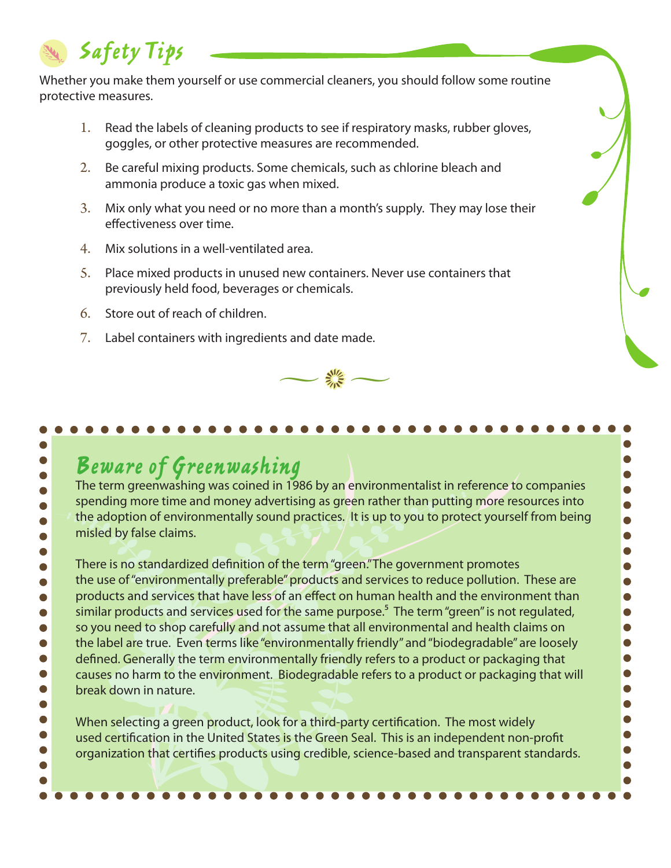# d *Safety Tips*

Whether you make them yourself or use commercial cleaners, you should follow some routine protective measures.

- 1. Read the labels of cleaning products to see if respiratory masks, rubber gloves, goggles, or other protective measures are recommended.
- 2. Be careful mixing products. Some chemicals, such as chlorine bleach and ammonia produce a toxic gas when mixed.
- 3. Mix only what you need or no more than a month's supply. They may lose their effectiveness over time.
- 4. Mix solutions in a well-ventilated area.
- 5. Place mixed products in unused new containers. Never use containers that previously held food, beverages or chemicals.
- 6. Store out of reach of children.
- 7. Label containers with ingredients and date made.



 $\bullet$  $\bullet$  $\bullet$  $\bullet$  $\bullet$  $\bullet$ 

 $\bullet$  $\bullet$ 

 $\bullet$ 

 $\bullet$  $\bullet$  $\bullet$ 

 $\bullet$  $\bullet$  $\bullet$  $\bullet$  $\bullet$  $\bullet$ 

 $\bullet$  $\bullet$ 

 $\bullet$ 

 $\bullet$ 

# *Beware of Greenwashing*

The term greenwashing was coined in 1986 by an environmentalist in reference to companies spending more time and money advertising as green rather than putting more resources into the adoption of environmentally sound practices. It is up to you to protect yourself from being misled by false claims.

There is no standardized definition of the term "green."The government promotes  $\bullet$ the use of "environmentally preferable" products and services to reduce pollution. These are  $\bullet$ products and services that have less of an effect on human health and the environment than similar products and services used for the same purpose.<sup>5</sup> The term "green" is not regulated, so you need to shop carefully and not assume that all environmental and health claims on O the label are true. Even terms like "environmentally friendly" and "biodegradable" are loosely defined. Generally the term environmentally friendly refers to a product or packaging that causes no harm to the environment. Biodegradable refers to a product or packaging that will break down in nature.

 $\bullet$ When selecting a green product, look for a third-party certification. The most widely used certification in the United States is the Green Seal. This is an independent non-profit  $\bullet$ organization that certifies products using credible, science-based and transparent standards.  $\bullet$